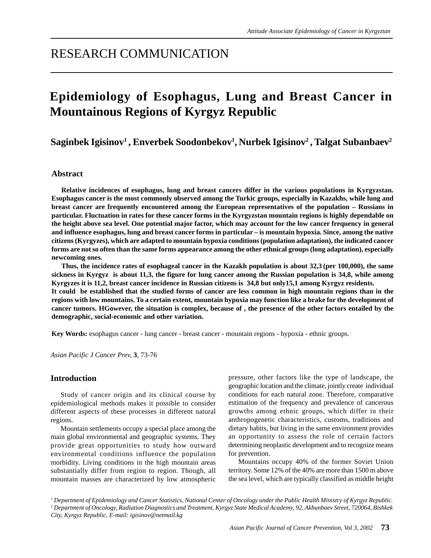## RESEARCH COMMUNICATION

# **Epidemiology of Esophagus, Lung and Breast Cancer in Mountainous Regions of Kyrgyz Republic**

 $\mathbf{S}$ aginbek Igisinov $^1$ , Enverbek Soodonbekov $^1$ , Nurbek Igisinov $^2$ , Talgat Subanbaev $^2$ 

## **Abstract**

**Relative incidences of esophagus, lung and breast cancers differ in the various populations in Kyrgyzstan. Esophagus cancer is the most commonly observed among the Turkic groups, especially in Kazakhs, while lung and breast cancer are frequently encountered among the European representatives of the population – Russians in particular. Fluctuation in rates for these cancer forms in the Kyrgyzstan mountain regions is highly dependable on the height above sea level. One potential major factor, which may account for the low cancer frequency in general and influence esophagus, lung and breast cancer forms in particular – is mountain hypoxia. Since, among the native citizens (Kyrgyzes), which are adapted to mountain hypoxia conditions (population adaptation), the indicated cancer forms are not so often than the same forms appearance among the other ethnical groups (long adaptation), especially newcoming ones.**

**Thus, the incidence rates of esophageal cancer in the Kazakh population is about 32,3 (per 100,000), the same sickness in Kyrgyz is about 11,3, the figure for lung cancer among the Russian population is 34,8, while among Kyrgyzes it is 11,2, breast cancer incidence in Russian citizens is 34,8 but only15,1 among Kyrgyz residents. It could be established that the studied forms of cancer are less common in high mountain regions than in the regions with low mountains. To a certain extent, mountain hypoxia may function like a brake for the development of cancer tumors. HGowever, the situation is complex, because of , the presence of the other factors entailed by the demographic, social-economic and other variation.**

**Key Words:** esophagus cancer - lung cancer - breast cancer - mountain regions - hypoxia - ethnic groups.

*Asian Pacific J Cancer Prev,* **3**, 73-76

#### **Introduction**

Study of cancer origin and its clinical course by epidemiological methods makes it possible to consider different aspects of these processes in different natural regions.

Mountain settlements occupy a special place among the main global environmental and geographic systems. They provide great opportunities to study how outward environmental conditions influence the population morbidity. Living conditions in the high mountain areas substantially differ from region to region. Though, all mountain masses are characterized by low atmospheric pressure, other factors like the type of landscape, the geographic location and the climate, jointly create individual conditions for each natural zone. Therefore, comparative estimation of the frequency and prevalence of cancerous growths among ethnic groups, which differ in their anthropogenetic characteristics, customs, traditions and dietary habits, but living in the same environment provides an opportunity to assess the role of certain factors determining neoplastic development and to recognize means for prevention.

Mountains occupy 40% of the former Soviet Union territory. Some 12% of the 40% are more than 1500 m above the sea level, which are typically classified as middle height

*<sup>1</sup> Department of Epidemiology and Cancer Statistics, National Center of Oncology under the Public Health Ministry of Kyrgyz Republic. 2 Department of Oncology, Radiation Diagnostics and Treatment, Kyrgyz State Medical Academy, 92, Akhunbaev Street, 720064, Bishkek City, Kyrgyz Republic, E-mail: igisinov@netmail.kg*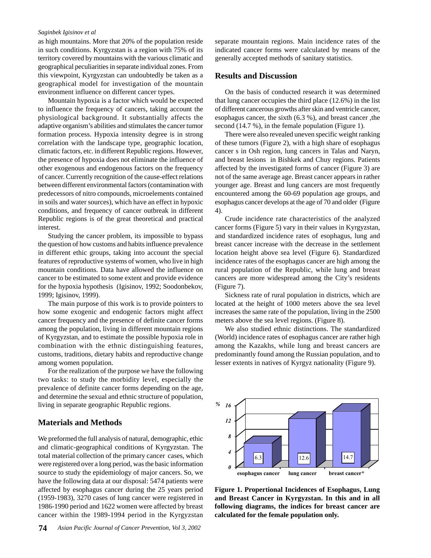#### *Saginbek Igisinov et al*

as high mountains. More that 20% of the population reside in such conditions. Kyrgyzstan is a region with 75% of its territory covered by mountains with the various climatic and geographical peculiarities in separate individual zones. From this viewpoint, Kyrgyzstan can undoubtedly be taken as a geographical model for investigation of the mountain environment influence on different cancer types.

Mountain hypoxia is a factor which would be expected to influence the frequency of cancers, taking account the physiological background. It substantially affects the adaptive organism's abilities and stimulates the cancer tumor formation process. Hypoxia intensity degree is in strong correlation with the landscape type, geographic location, climatic factors, etc. in different Republic regions. However, the presence of hypoxia does not eliminate the influence of other exogenous and endogenous factors on the frequency of cancer. Currently recognition of the cause-effect relations between different environmental factors (contamination with predecessors of nitro compounds, microelements contained in soils and water sources), which have an effect in hypoxic conditions, and frequency of cancer outbreak in different Republic regions is of the great theoretical and practical interest.

Studying the cancer problem, its impossible to bypass the question of how customs and habits influence prevalence in different ethic groups, taking into account the special features of reproductive systems of women, who live in high mountain conditions. Data have allowed the influence on cancer to be estimated to some extent and provide evidence for the hypoxia hypothesis (Igisinov, 1992; Soodonbekov, 1999; Igisinov, 1999).

The main purpose of this work is to provide pointers to how some exogenic and endogenic factors might affect cancer frequency and the presence of definite cancer forms among the population, living in different mountain regions of Kyrgyzstan, and to estimate the possible hypoxia role in combination with the ethnic distinguishing features, customs, traditions, dietary habits and reproductive change among women population.

For the realization of the purpose we have the following two tasks: to study the morbidity level, especially the prevalence of definite cancer forms depending on the age, and determine the sexual and ethnic structure of population, living in separate geographic Republic regions.

## **Materials and Methods**

We preformed the full analysis of natural, demographic, ethic and climatic-geographical conditions of Kyrgyzstan. The total material collection of the primary cancer cases, which were registered over a long period, was the basic information source to study the epidemiology of major cancers. So, we have the following data at our disposal: 5474 patients were affected by esophagus cancer during the 25 years period (1959-1983), 3270 cases of lung cancer were registered in 1986-1990 period and 1622 women were affected by breast cancer within the 1989-1994 period in the Kyrgyzstan

separate mountain regions. Main incidence rates of the indicated cancer forms were calculated by means of the generally accepted methods of sanitary statistics.

#### **Results and Discussion**

On the basis of conducted research it was determined that lung cancer occupies the third place (12.6%) in the list of different cancerous growths after skin and ventricle cancer, esophagus cancer, the sixth (6.3 %), and breast cancer ,the second (14.7 %), in the female population (Figure 1).

There were also revealed uneven specific weight ranking of these tumors (Figure 2), with a high share of esophagus cancer s in Osh region, lung cancers in Talas and Naryn, and breast lesions in Bishkek and Chuy regions. Patients affected by the investigated forms of cancer (Figure 3) are not of the same average age. Breast cancer appears in rather younger age. Breast and lung cancers are most frequently encountered among the 60-69 population age groups, and esophagus cancer develops at the age of 70 and older (Figure 4).

Crude incidence rate characteristics of the analyzed cancer forms (Figure 5) vary in their values in Kyrgyzstan, and standardized incidence rates of esophagus, lung and breast cancer increase with the decrease in the settlement location height above sea level (Figure 6). Standardized incidence rates of the esophagus cancer are high among the rural population of the Republic, while lung and breast cancers are more widespread among the City's residents (Figure 7).

Sickness rate of rural population in districts, which are located at the height of 1000 meters above the sea level increases the same rate of the population, living in the 2500 meters above the sea level regions. (Figure 8).

We also studied ethnic distinctions. The standardized (World) incidence rates of esophagus cancer are rather high among the Kazakhs, while lung and breast cancers are predominantly found among the Russian population, and to lesser extents in natives of Kyrgyz nationality (Figure 9).



**Figure 1. Propertional Incidences of Esophagus, Lung and Breast Cancer in Kyrgyzstan. In this and in all following diagrams, the indices for breast cancer are calculated for the female population only.**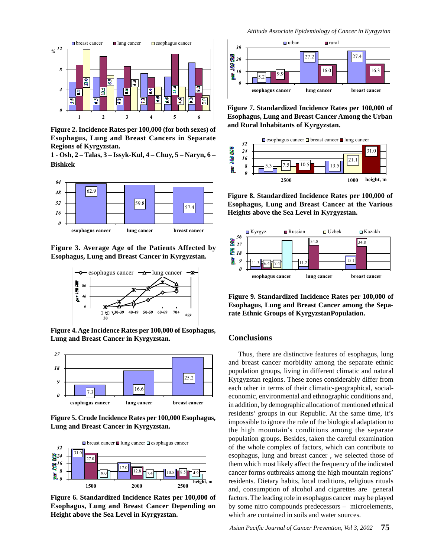

**Figure 2. Incidence Rates per 100,000 (for both sexes) of Esophagus, Lung and Breast Cancers in Separate Regions of Kyrgyzstan.**

**1 - Osh, 2 – Talas, 3 – Issyk-Kul, 4 – Chuy, 5 – Naryn, 6 – Bishkek**



**Figure 3. Average Age of the Patients Affected by Esophagus, Lung and Breast Cancer in Kyrgyzstan.**



**Figure 4. Age Incidence Rates per 100,000 of Esophagus, Lung and Breast Cancer in Kyrgyzstan.**



**Figure 5. Crude Incidence Rates per 100,000 Esophagus, Lung and Breast Cancer in Kyrgyzstan.**



**Figure 6. Standardized Incidence Rates per 100,000 of Esophagus, Lung and Breast Cancer Depending on Height above the Sea Level in Kyrgyzstan.**



**Figure 7. Standardized Incidence Rates per 100,000 of Esophagus, Lung and Breast Cancer Among the Urban and Rural Inhabitants of Kyrgyzstan.**



**Figure 8. Standardized Incidence Rates per 100,000 of Esophagus, Lung and Breast Cancer at the Various Heights above the Sea Level in Kyrgyzstan.**



**Figure 9. Standardized Incidence Rates per 100,000 of Esophagus, Lung and Breast Cancer among the Separate Ethnic Groups of KyrgyzstanPopulation.**

## **Conclusions**

Thus, there are distinctive features of esophagus, lung and breast cancer morbidity among the separate ethnic population groups, living in different climatic and natural Kyrgyzstan regions. These zones considerably differ from each other in terms of their climatic-geographical, socialeconomic, environmental and ethnographic conditions and, in addition, by demographic allocation of mentioned ethnical residents' groups in our Republic. At the same time, it's impossible to ignore the role of the biological adaptation to the high mountain's conditions among the separate population groups. Besides, taken the careful examination of the whole complex of factors, which can contribute to esophagus, lung and breast cancer , we selected those of them which most likely affect the frequency of the indicated cancer forms outbreaks among the high mountain regions' residents. Dietary habits, local traditions, religious rituals and, consumption of alcohol and cigarettes are general factors. The leading role in esophagus cancer may be played by some nitro compounds predecessors – microelements, which are contained in soils and water sources.